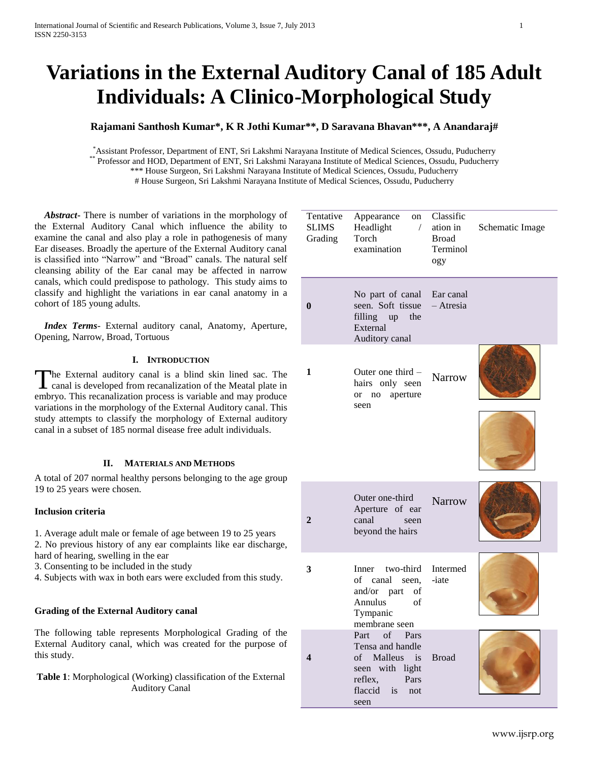# **Variations in the External Auditory Canal of 185 Adult Individuals: A Clinico-Morphological Study**

# **Rajamani Santhosh Kumar\*, K R Jothi Kumar\*\*, D Saravana Bhavan\*\*\*, A Anandaraj#**

\*Assistant Professor, Department of ENT, Sri Lakshmi Narayana Institute of Medical Sciences, Ossudu, Puducherry<br>\*\* Professor and HOD, Department of ENT, Sri Lakshmi Narayana Institute of Medical Sciences, Ossudu, Puducherr Professor and HOD, Department of ENT, Sri Lakshmi Narayana Institute of Medical Sciences, Ossudu, Puducherry \*\*\* House Surgeon, Sri Lakshmi Narayana Institute of Medical Sciences, Ossudu, Puducherry # House Surgeon, Sri Lakshmi Narayana Institute of Medical Sciences, Ossudu, Puducherry

 *Abstract***-** There is number of variations in the morphology of the External Auditory Canal which influence the ability to examine the canal and also play a role in pathogenesis of many Ear diseases. Broadly the aperture of the External Auditory canal is classified into "Narrow" and "Broad" canals. The natural self cleansing ability of the Ear canal may be affected in narrow canals, which could predispose to pathology. This study aims to classify and highlight the variations in ear canal anatomy in a cohort of 185 young adults.

 *Index Terms*- External auditory canal, Anatomy, Aperture, Opening, Narrow, Broad, Tortuous

# **I. INTRODUCTION**

he External auditory canal is a blind skin lined sac. The The External auditory canal is a blind skin lined sac. The canal is developed from recanalization of the Meatal plate in embryo. This recanalization process is variable and may produce variations in the morphology of the External Auditory canal. This study attempts to classify the morphology of External auditory canal in a subset of 185 normal disease free adult individuals.

#### **II. MATERIALS AND METHODS**

A total of 207 normal healthy persons belonging to the age group 19 to 25 years were chosen.

#### **Inclusion criteria**

- 1. Average adult male or female of age between 19 to 25 years 2. No previous history of any ear complaints like ear discharge,
- hard of hearing, swelling in the ear
- 3. Consenting to be included in the study
- 4. Subjects with wax in both ears were excluded from this study.

# **Grading of the External Auditory canal**

The following table represents Morphological Grading of the External Auditory canal, which was created for the purpose of this study.

**Table 1**: Morphological (Working) classification of the External Auditory Canal

| Tentative<br><b>SLIMS</b><br>Grading | Appearance on Classific<br>$\sqrt{2}$<br>Headlight<br>Torch<br>examination                                                 | ation in<br><b>Broad</b><br>Terminol<br>ogy | Schematic Image |
|--------------------------------------|----------------------------------------------------------------------------------------------------------------------------|---------------------------------------------|-----------------|
| $\bf{0}$                             | No part of canal Ear canal<br>seen. Soft tissue<br>filling up the<br>External<br>Auditory canal                            | - Atresia                                   |                 |
| 1                                    | Outer one third $-$<br>hairs only seen<br>aperture<br>or no<br>seen                                                        | Narrow                                      |                 |
| $\overline{2}$                       | Outer one-third<br>Aperture of ear<br>canal<br>seen<br>beyond the hairs                                                    | <b>Narrow</b>                               |                 |
| 3                                    | Inner two-third<br>of canal seen,<br>and/or part<br>of<br>Annulus<br>of<br>Tympanic<br>membrane seen                       | Intermed<br>-iate                           |                 |
| 4                                    | of Pars<br>Part<br>Tensa and handle<br>of Malleus<br>is<br>seen with light<br>reflex,<br>Pars<br>flaccid is<br>not<br>seen | <b>Broad</b>                                |                 |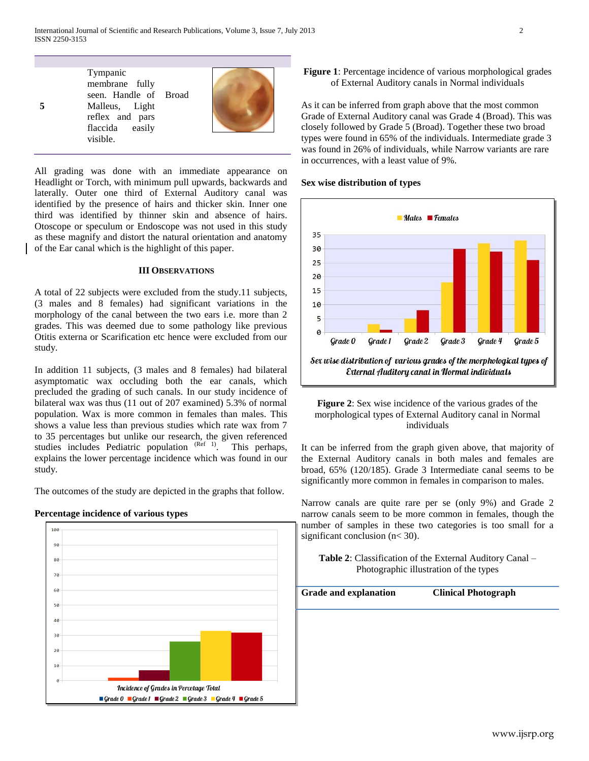Tympanic membrane fully seen. Handle of Malleus, Light reflex and pars flaccida easily visible. Broad

**5**



All grading was done with an immediate appearance on Headlight or Torch, with minimum pull upwards, backwards and laterally. Outer one third of External Auditory canal was identified by the presence of hairs and thicker skin. Inner one third was identified by thinner skin and absence of hairs. Otoscope or speculum or Endoscope was not used in this study as these magnify and distort the natural orientation and anatomy of the Ear canal which is the highlight of this paper.

#### **III OBSERVATIONS**

A total of 22 subjects were excluded from the study.11 subjects, (3 males and 8 females) had significant variations in the morphology of the canal between the two ears i.e. more than 2 grades. This was deemed due to some pathology like previous Otitis externa or Scarification etc hence were excluded from our study.

In addition 11 subjects, (3 males and 8 females) had bilateral asymptomatic wax occluding both the ear canals, which precluded the grading of such canals. In our study incidence of bilateral wax was thus (11 out of 207 examined) 5.3% of normal population. Wax is more common in females than males. This shows a value less than previous studies which rate wax from 7 to 35 percentages but unlike our research, the given referenced studies includes Pediatric population  $(Ref 1)$ . This perhaps, explains the lower percentage incidence which was found in our study.

The outcomes of the study are depicted in the graphs that follow.

# **Percentage incidence of various types**



# **Figure 1**: Percentage incidence of various morphological grades of External Auditory canals in Normal individuals

As it can be inferred from graph above that the most common Grade of External Auditory canal was Grade 4 (Broad). This was closely followed by Grade 5 (Broad). Together these two broad types were found in 65% of the individuals. Intermediate grade 3 was found in 26% of individuals, while Narrow variants are rare in occurrences, with a least value of 9%.



#### **Sex wise distribution of types**



It can be inferred from the graph given above, that majority of the External Auditory canals in both males and females are broad, 65% (120/185). Grade 3 Intermediate canal seems to be significantly more common in females in comparison to males.

Narrow canals are quite rare per se (only 9%) and Grade 2 narrow canals seem to be more common in females, though the number of samples in these two categories is too small for a significant conclusion (n< 30).

**Table 2**: Classification of the External Auditory Canal – Photographic illustration of the types

**Grade and explanation Clinical Photograph**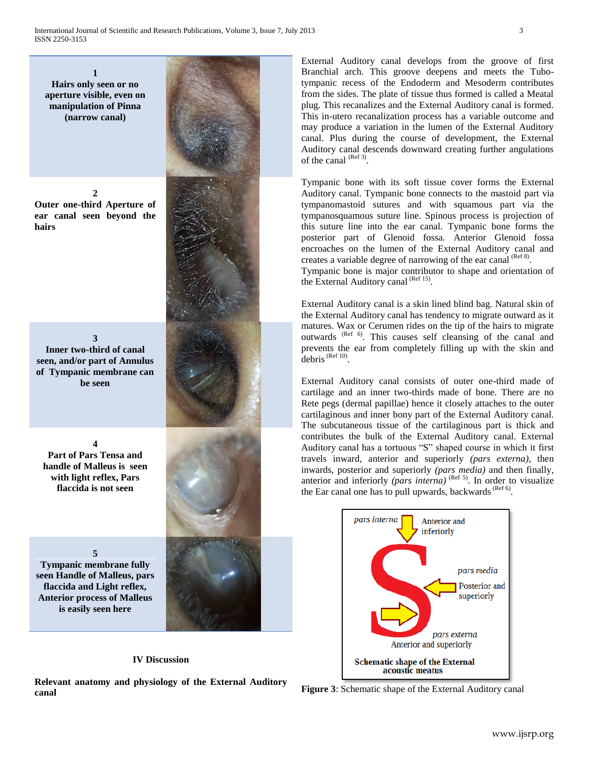**1 Hairs only seen or no aperture visible, even on manipulation of Pinna (narrow canal)**

**2 Outer one-third Aperture of ear canal seen beyond the hairs**

**3 Inner two-third of canal seen, and/or part of Annulus of Tympanic membrane can be seen**

**4 Part of Pars Tensa and handle of Malleus is seen with light reflex, Pars flaccida is not seen** 

**5**

**Tympanic membrane fully seen Handle of Malleus, pars flaccida and Light reflex, Anterior process of Malleus is easily seen here**

# **IV Discussion**

**Relevant anatomy and physiology of the External Auditory canal**



Tympanic bone with its soft tissue cover forms the External Auditory canal. Tympanic bone connects to the mastoid part via tympanomastoid sutures and with squamous part via the tympanosquamous suture line. Spinous process is projection of this suture line into the ear canal. Tympanic bone forms the posterior part of Glenoid fossa. Anterior Glenoid fossa encroaches on the lumen of the External Auditory canal and creates a variable degree of narrowing of the ear canal  $^{(Ref 8)}$ .

Tympanic bone is major contributor to shape and orientation of the External Auditory canal (Ref 15).

External Auditory canal is a skin lined blind bag. Natural skin of the External Auditory canal has tendency to migrate outward as it matures. Wax or Cerumen rides on the tip of the hairs to migrate outwards <sup>(Ref 6)</sup>. This causes self cleansing of the canal and prevents the ear from completely filling up with the skin and  $debris$ <sup> $(Ref 10)$ </sup>.

External Auditory canal consists of outer one-third made of cartilage and an inner two-thirds made of bone. There are no Rete pegs (dermal papillae) hence it closely attaches to the outer cartilaginous and inner bony part of the External Auditory canal. The subcutaneous tissue of the cartilaginous part is thick and contributes the bulk of the External Auditory canal. External Auditory canal has a tortuous "S" shaped course in which it first travels inward, anterior and superiorly *(pars externa)*, then inwards, posterior and superiorly *(pars media)* and then finally, anterior and inferiorly *(pars interna)*  $^{(Ref 5)}$ . In order to visualize the Ear canal one has to pull upwards, backwards  $^{(Ref 6)}$ .



**Figure 3**: Schematic shape of the External Auditory canal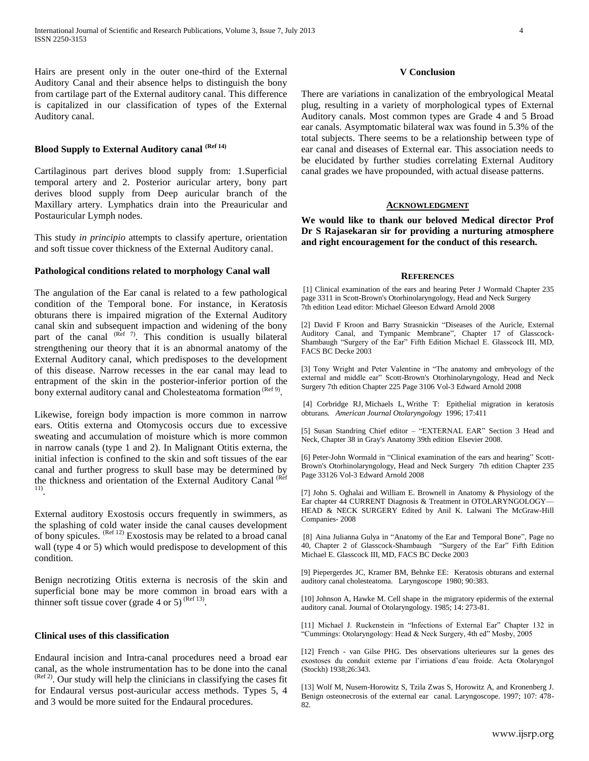Hairs are present only in the outer one-third of the External Auditory Canal and their absence helps to distinguish the bony from cartilage part of the External auditory canal. This difference is capitalized in our classification of types of the External Auditory canal.

# **Blood Supply to External Auditory canal (Ref 14)**

Cartilaginous part derives blood supply from: 1.Superficial temporal artery and 2. Posterior auricular artery, bony part derives blood supply from Deep auricular branch of the Maxillary artery. Lymphatics drain into the Preauricular and Postauricular Lymph nodes.

This study *in principio* attempts to classify aperture, orientation and soft tissue cover thickness of the External Auditory canal.

#### **Pathological conditions related to morphology Canal wall**

The angulation of the Ear canal is related to a few pathological condition of the Temporal bone. For instance, in Keratosis obturans there is impaired migration of the External Auditory canal skin and subsequent impaction and widening of the bony part of the canal  $(R<sup>eff</sup> 7)$ . This condition is usually bilateral strengthening our theory that it is an abnormal anatomy of the External Auditory canal, which predisposes to the development of this disease. Narrow recesses in the ear canal may lead to entrapment of the skin in the posterior-inferior portion of the bony external auditory canal and Cholesteatoma formation (Ref 9).

Likewise, foreign body impaction is more common in narrow ears. Otitis externa and Otomycosis occurs due to excessive sweating and accumulation of moisture which is more common in narrow canals (type 1 and 2). In Malignant Otitis externa, the initial infection is confined to the skin and soft tissues of the ear canal and further progress to skull base may be determined by the thickness and orientation of the External Auditory Canal (Ref) 11) .

External auditory Exostosis occurs frequently in swimmers, as the splashing of cold water inside the canal causes development of bony spicules. <sup>(Ref 12)</sup> Exostosis may be related to a broad canal wall (type 4 or 5) which would predispose to development of this condition.

Benign necrotizing Otitis externa is necrosis of the skin and superficial bone may be more common in broad ears with a thinner soft tissue cover (grade 4 or 5)<sup>(Ref 13)</sup>.

#### **Clinical uses of this classification**

Endaural incision and Intra-canal procedures need a broad ear canal, as the whole instrumentation has to be done into the canal  $(Ref 2)$ . Our study will help the clinicians in classifying the cases fit for Endaural versus post-auricular access methods. Types 5, 4 and 3 would be more suited for the Endaural procedures.

#### **V Conclusion**

There are variations in canalization of the embryological Meatal plug, resulting in a variety of morphological types of External Auditory canals. Most common types are Grade 4 and 5 Broad ear canals. Asymptomatic bilateral wax was found in 5.3% of the total subjects. There seems to be a relationship between type of ear canal and diseases of External ear. This association needs to be elucidated by further studies correlating External Auditory canal grades we have propounded, with actual disease patterns.

# **ACKNOWLEDGMENT**

**We would like to thank our beloved Medical director Prof Dr S Rajasekaran sir for providing a nurturing atmosphere and right encouragement for the conduct of this research.**

#### **REFERENCES**

[1] Clinical examination of the ears and hearing Peter J Wormald Chapter 235 page 3311 in Scott-Brown's Otorhinolaryngology, Head and Neck Surgery 7th edition Lead editor: Michael Gleeson Edward Arnold 2008

[2] David F Kroon and Barry Strasnickin "Diseases of the Auricle, External Auditory Canal, and Tympanic Membrane", Chapter 17 of Glasscock-Shambaugh "Surgery of the Ear" Fifth Edition Michael E. Glasscock III, MD, FACS BC Decke 2003

[3] Tony Wright and Peter Valentine in "The anatomy and embryology of the external and middle ear" Scott-Brown's Otorhinolaryngology, Head and Neck Surgery 7th edition Chapter 225 Page 3106 Vol-3 Edward Arnold 2008

[4] Corbridge RJ, Michaels L, Writhe T: Epithelial migration in keratosis obturans. *American Journal Otolaryngology* 1996; 17:411

[5] Susan Standring Chief editor – "EXTERNAL EAR" Section 3 Head and Neck, Chapter 38 in Gray's Anatomy 39th edition Elsevier 2008.

[6] Peter-John Wormald in "Clinical examination of the ears and hearing" Scott-Brown's Otorhinolaryngology, Head and Neck Surgery 7th edition Chapter 235 Page 33126 Vol-3 Edward Arnold 2008

[7] John S. Oghalai and William E. Brownell in Anatomy & Physiology of the Ear chapter 44 CURRENT Diagnosis & Treatment in OTOLARYNGOLOGY— HEAD & NECK SURGERY Edited by Anil K. Lalwani The McGraw-Hill Companies- 2008

[8] Aina Julianna Gulya in "Anatomy of the Ear and Temporal Bone", Page no 40, Chapter 2 of Glasscock-Shambaugh "Surgery of the Ear" Fifth Edition Michael E. Glasscock III, MD, FACS BC Decke 2003

[9] Piepergerdes JC, Kramer BM, Behnke EE: Keratosis obturans and external auditory canal cholesteatoma. Laryngoscope 1980; 90:383.

[10] Johnson A, Hawke M. Cell shape in the migratory epidermis of the external auditory canal. Journal of Otolaryngology. 1985; 14: 273-81.

[11] Michael J. Ruckenstein in "Infections of External Ear" Chapter 132 in "Cummings: Otolaryngology: Head & Neck Surgery, 4th ed" Mosby, 2005

[12] French - van Gilse PHG. Des observations ulterieures sur la genes des exostoses du conduit externe par l'irriations d'eau froide. Acta Otolaryngol (Stockh) 1938;26:343.

[13] Wolf M, Nusem-Horowitz S, Tzila Zwas S, Horowitz A, and Kronenberg J. Benign osteonecrosis of the external ear canal. Laryngoscope. 1997; 107: 478- 82.